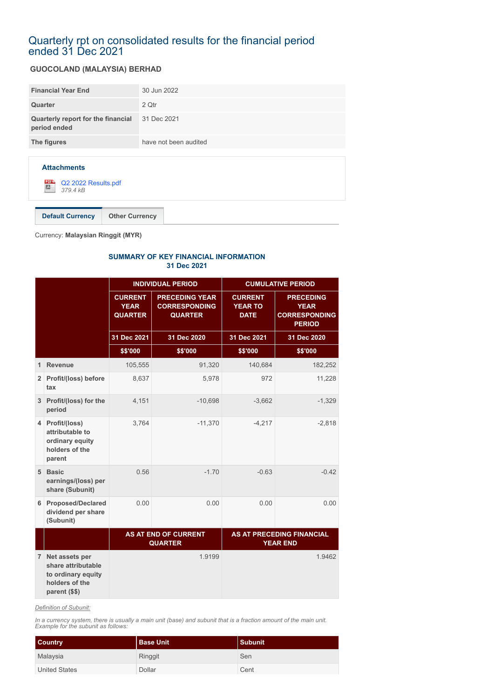# Quarterly rpt on consolidated results for the financial period ended 31 Dec 2021

# **GUOCOLAND (MALAYSIA) BERHAD**

| <b>Financial Year End</b>                          | 30 Jun 2022           |
|----------------------------------------------------|-----------------------|
| Quarter                                            | 2 Qtr                 |
| Quarterly report for the financial<br>period ended | 31 Dec 2021           |
| The figures                                        | have not been audited |
|                                                    |                       |
|                                                    |                       |



**Default Currency Other Currency**

Currency: **Malaysian Ringgit (MYR)**

#### **SUMMARY OF KEY FINANCIAL INFORMATION 31 Dec 2021**

|                |                                                                                                 |                                                 | <b>INDIVIDUAL PERIOD</b>                                        | <b>CUMULATIVE PERIOD</b>                        |                                                                          |  |
|----------------|-------------------------------------------------------------------------------------------------|-------------------------------------------------|-----------------------------------------------------------------|-------------------------------------------------|--------------------------------------------------------------------------|--|
|                |                                                                                                 | <b>CURRENT</b><br><b>YEAR</b><br><b>QUARTER</b> | <b>PRECEDING YEAR</b><br><b>CORRESPONDING</b><br><b>QUARTER</b> | <b>CURRENT</b><br><b>YEAR TO</b><br><b>DATE</b> | <b>PRECEDING</b><br><b>YEAR</b><br><b>CORRESPONDING</b><br><b>PERIOD</b> |  |
|                |                                                                                                 | 31 Dec 2021                                     | 31 Dec 2020                                                     | 31 Dec 2021                                     | 31 Dec 2020                                                              |  |
|                |                                                                                                 | \$\$'000                                        | \$\$'000                                                        | \$\$'000                                        | \$\$'000                                                                 |  |
| 1              | <b>Revenue</b>                                                                                  | 105,555                                         | 91,320                                                          | 140,684                                         | 182,252                                                                  |  |
|                | 2 Profit/(loss) before<br>tax                                                                   | 8,637                                           | 5,978                                                           | 972                                             | 11,228                                                                   |  |
|                | 3 Profit/(loss) for the<br>period                                                               | 4,151                                           | $-10,698$                                                       | $-3,662$                                        | $-1,329$                                                                 |  |
| 4 <sup>1</sup> | Profit/(loss)<br>attributable to<br>ordinary equity<br>holders of the<br>parent                 | 3,764                                           | $-11,370$                                                       | $-4,217$                                        | $-2,818$                                                                 |  |
|                | 5 Basic<br>earnings/(loss) per<br>share (Subunit)                                               | 0.56                                            | $-1.70$                                                         | $-0.63$                                         | $-0.42$                                                                  |  |
| 6              | <b>Proposed/Declared</b><br>dividend per share<br>(Subunit)                                     | 0.00                                            | 0.00                                                            | 0.00                                            | 0.00                                                                     |  |
|                |                                                                                                 |                                                 | <b>AS AT END OF CURRENT</b><br><b>QUARTER</b>                   |                                                 | AS AT PRECEDING FINANCIAL<br><b>YEAR END</b>                             |  |
|                | 7 Net assets per<br>share attributable<br>to ordinary equity<br>holders of the<br>parent (\$\$) |                                                 | 1.9199                                                          |                                                 | 1.9462                                                                   |  |

*Definition of Subunit:*

*In a currency system, there is usually a main unit (base) and subunit that is a fraction amount of the main unit. Example for the subunit as follows:*

| <b>Country</b>       | <b>Base Unit</b> | <b>Subunit</b> |
|----------------------|------------------|----------------|
| Malaysia             | Ringgit          | Sen            |
| <b>United States</b> | Dollar           | Cent           |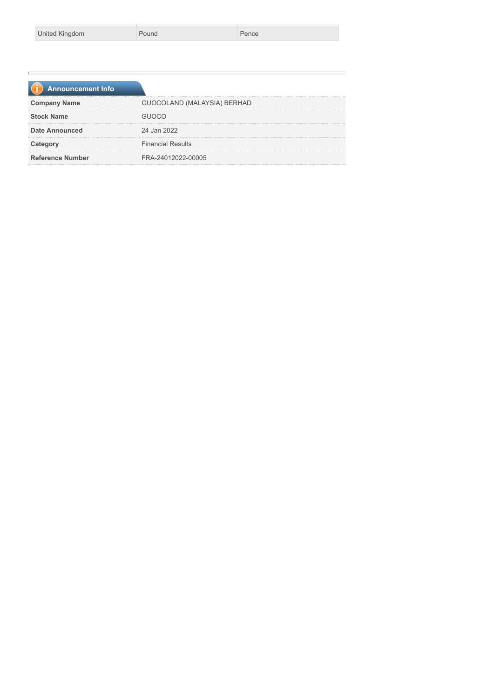| United Kingdom | Pound | Pence |
|----------------|-------|-------|
|                |       |       |

| <b>Announcement Info</b> |                             |
|--------------------------|-----------------------------|
| <b>Company Name</b>      | GUOCOLAND (MALAYSIA) BERHAD |
| <b>Stock Name</b>        |                             |
| <b>Date Announced</b>    | 24 Jan 2022                 |
| Category                 | <b>Financial Results</b>    |
| <b>Reference Number</b>  | FRA-24012022-00005          |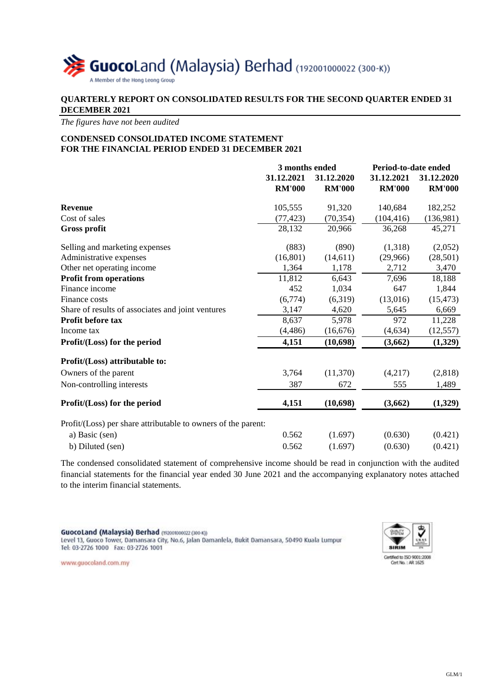

**QUARTERLY REPORT ON CONSOLIDATED RESULTS FOR THE SECOND QUARTER ENDED 31 DECEMBER 2021**

*The figures have not been audited*

# **CONDENSED CONSOLIDATED INCOME STATEMENT FOR THE FINANCIAL PERIOD ENDED 31 DECEMBER 2021**

|                                                               | 3 months ended |               | Period-to-date ended |               |  |
|---------------------------------------------------------------|----------------|---------------|----------------------|---------------|--|
|                                                               | 31.12.2021     | 31.12.2020    | 31.12.2021           | 31.12.2020    |  |
|                                                               | <b>RM'000</b>  | <b>RM'000</b> | <b>RM'000</b>        | <b>RM'000</b> |  |
| <b>Revenue</b>                                                | 105,555        | 91,320        | 140,684              | 182,252       |  |
| Cost of sales                                                 | (77, 423)      | (70, 354)     | (104, 416)           | (136,981)     |  |
| <b>Gross profit</b>                                           | 28,132         | 20,966        | 36,268               | 45,271        |  |
| Selling and marketing expenses                                | (883)          | (890)         | (1,318)              | (2,052)       |  |
| Administrative expenses                                       | (16, 801)      | (14,611)      | (29,966)             | (28,501)      |  |
| Other net operating income                                    | 1,364          | 1,178         | 2,712                | 3,470         |  |
| <b>Profit from operations</b>                                 | 11,812         | 6,643         | 7,696                | 18,188        |  |
| Finance income                                                | 452            | 1,034         | 647                  | 1,844         |  |
| Finance costs                                                 | (6,774)        | (6,319)       | (13,016)             | (15, 473)     |  |
| Share of results of associates and joint ventures             | 3,147          | 4,620         | 5,645                | 6,669         |  |
| Profit before tax                                             | 8,637          | 5,978         | 972                  | 11,228        |  |
| Income tax                                                    | (4, 486)       | (16, 676)     | (4, 634)             | (12, 557)     |  |
| Profit/(Loss) for the period                                  | 4,151          | (10,698)      | (3,662)              | (1,329)       |  |
| Profit/(Loss) attributable to:                                |                |               |                      |               |  |
| Owners of the parent                                          | 3,764          | (11,370)      | (4,217)              | (2,818)       |  |
| Non-controlling interests                                     | 387            | 672           | 555                  | 1,489         |  |
| Profit/(Loss) for the period                                  | 4,151          | (10, 698)     | (3,662)              | (1,329)       |  |
| Profit/(Loss) per share attributable to owners of the parent: |                |               |                      |               |  |
| a) Basic (sen)                                                | 0.562          | (1.697)       | (0.630)              | (0.421)       |  |
| b) Diluted (sen)                                              | 0.562          | (1.697)       | (0.630)              | (0.421)       |  |

The condensed consolidated statement of comprehensive income should be read in conjunction with the audited financial statements for the financial year ended 30 June 2021 and the accompanying explanatory notes attached to the interim financial statements.

GuocoLand (Malaysia) Berhad (192001000022 (300-K)) Level 13, Guoco Tower, Damansara City, No.6, Jalan Damanlela, Bukit Damansara, 50490 Kuala Lumpur Tel: 03-2726 1000 Fax: 03-2726 1001



www.guocoland.com.my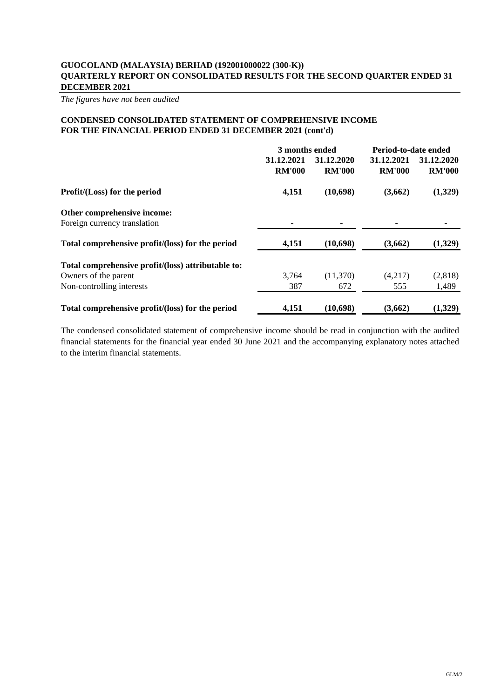*The figures have not been audited*

# **CONDENSED CONSOLIDATED STATEMENT OF COMPREHENSIVE INCOME FOR THE FINANCIAL PERIOD ENDED 31 DECEMBER 2021 (cont'd)**

|                                                    | 3 months ended              |                             | Period-to-date ended        |                             |  |
|----------------------------------------------------|-----------------------------|-----------------------------|-----------------------------|-----------------------------|--|
|                                                    | 31.12.2021<br><b>RM'000</b> | 31.12.2020<br><b>RM'000</b> | 31.12.2021<br><b>RM'000</b> | 31.12.2020<br><b>RM'000</b> |  |
| Profit/(Loss) for the period                       | 4,151                       | (10,698)                    | (3,662)                     | (1,329)                     |  |
| Other comprehensive income:                        |                             |                             |                             |                             |  |
| Foreign currency translation                       |                             |                             |                             |                             |  |
| Total comprehensive profit/(loss) for the period   | 4,151                       | (10,698)                    | (3,662)                     | (1,329)                     |  |
| Total comprehensive profit/(loss) attributable to: |                             |                             |                             |                             |  |
| Owners of the parent                               | 3,764                       | (11,370)                    | (4,217)                     | (2,818)                     |  |
| Non-controlling interests                          | 387                         | 672                         | 555                         | 1,489                       |  |
| Total comprehensive profit/(loss) for the period   | 4,151                       | (10,698)                    | (3,662)                     | (1,329)                     |  |

The condensed consolidated statement of comprehensive income should be read in conjunction with the audited financial statements for the financial year ended 30 June 2021 and the accompanying explanatory notes attached to the interim financial statements.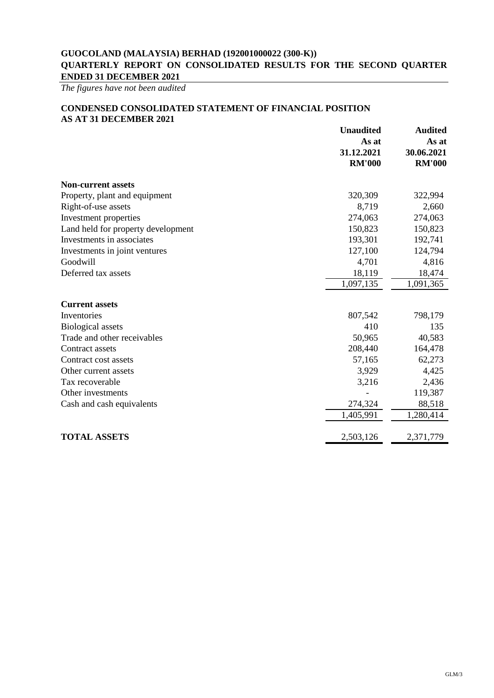*The figures have not been audited*

# **CONDENSED CONSOLIDATED STATEMENT OF FINANCIAL POSITION AS AT 31 DECEMBER 2021**

|                                    | <b>Unaudited</b> | <b>Audited</b> |
|------------------------------------|------------------|----------------|
|                                    | As at            | As at          |
|                                    | 31.12.2021       | 30.06.2021     |
|                                    | <b>RM'000</b>    | <b>RM'000</b>  |
| <b>Non-current assets</b>          |                  |                |
| Property, plant and equipment      | 320,309          | 322,994        |
| Right-of-use assets                | 8,719            | 2,660          |
| Investment properties              | 274,063          | 274,063        |
| Land held for property development | 150,823          | 150,823        |
| Investments in associates          | 193,301          | 192,741        |
| Investments in joint ventures      | 127,100          | 124,794        |
| Goodwill                           | 4,701            | 4,816          |
| Deferred tax assets                | 18,119           | 18,474         |
|                                    | 1,097,135        | 1,091,365      |
| <b>Current assets</b>              |                  |                |
| Inventories                        | 807,542          | 798,179        |
| <b>Biological assets</b>           | 410              | 135            |
| Trade and other receivables        | 50,965           | 40,583         |
| Contract assets                    | 208,440          | 164,478        |
| Contract cost assets               | 57,165           | 62,273         |
| Other current assets               | 3,929            | 4,425          |
| Tax recoverable                    | 3,216            | 2,436          |
| Other investments                  |                  | 119,387        |
| Cash and cash equivalents          | 274,324          | 88,518         |
|                                    | 1,405,991        | 1,280,414      |
| <b>TOTAL ASSETS</b>                | 2,503,126        | 2,371,779      |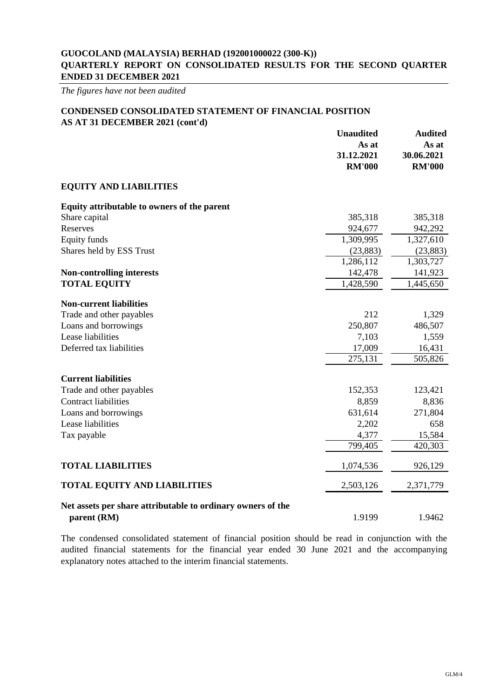*The figures have not been audited*

# **CONDENSED CONSOLIDATED STATEMENT OF FINANCIAL POSITION AS AT 31 DECEMBER 2021 (cont'd)**

|                                                             | <b>Unaudited</b><br>As at | <b>Audited</b><br>As at |
|-------------------------------------------------------------|---------------------------|-------------------------|
|                                                             | 31.12.2021                | 30.06.2021              |
|                                                             | <b>RM'000</b>             | <b>RM'000</b>           |
| <b>EQUITY AND LIABILITIES</b>                               |                           |                         |
| Equity attributable to owners of the parent                 |                           |                         |
| Share capital                                               | 385,318                   | 385,318                 |
| Reserves                                                    | 924,677                   | 942,292                 |
| <b>Equity funds</b>                                         | 1,309,995                 | 1,327,610               |
| Shares held by ESS Trust                                    | (23, 883)                 | (23, 883)               |
|                                                             | 1,286,112                 | 1,303,727               |
| <b>Non-controlling interests</b>                            | 142,478                   | 141,923                 |
| <b>TOTAL EQUITY</b>                                         | 1,428,590                 | 1,445,650               |
| <b>Non-current liabilities</b>                              |                           |                         |
| Trade and other payables                                    | 212                       | 1,329                   |
| Loans and borrowings                                        | 250,807                   | 486,507                 |
| Lease liabilities                                           | 7,103                     | 1,559                   |
| Deferred tax liabilities                                    | 17,009                    | 16,431                  |
|                                                             | 275,131                   | 505,826                 |
| <b>Current liabilities</b>                                  |                           |                         |
| Trade and other payables                                    | 152,353                   | 123,421                 |
| <b>Contract liabilities</b>                                 | 8,859                     | 8,836                   |
| Loans and borrowings                                        | 631,614                   | 271,804                 |
| Lease liabilities                                           | 2,202                     | 658                     |
| Tax payable                                                 | 4,377                     | 15,584                  |
|                                                             | 799,405                   | 420,303                 |
| <b>TOTAL LIABILITIES</b>                                    | 1,074,536                 | 926,129                 |
| <b>TOTAL EQUITY AND LIABILITIES</b>                         | 2,503,126                 | 2,371,779               |
| Net assets per share attributable to ordinary owners of the |                           |                         |
| parent (RM)                                                 | 1.9199                    | 1.9462                  |

The condensed consolidated statement of financial position should be read in conjunction with the audited financial statements for the financial year ended 30 June 2021 and the accompanying explanatory notes attached to the interim financial statements.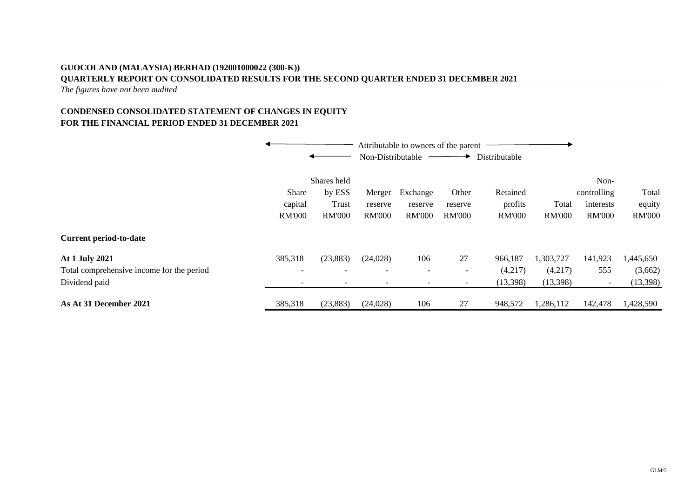*The figures have not been audited*

# **FOR THE FINANCIAL PERIOD ENDED 31 DECEMBER 2021 CONDENSED CONSOLIDATED STATEMENT OF CHANGES IN EQUITY**

|                                           |                          |                          | Non-Distributable        | Attributable to owners of the parent | ▶.                       | Distributable       |               |                          |                 |
|-------------------------------------------|--------------------------|--------------------------|--------------------------|--------------------------------------|--------------------------|---------------------|---------------|--------------------------|-----------------|
|                                           |                          | Shares held              |                          |                                      |                          |                     |               | Non-                     |                 |
|                                           | Share<br>capital         | by ESS<br>Trust          | Merger<br>reserve        | Exchange<br>reserve                  | Other<br>reserve         | Retained<br>profits | Total         | controlling<br>interests | Total<br>equity |
|                                           | <b>RM'000</b>            | <b>RM'000</b>            | <b>RM'000</b>            | <b>RM'000</b>                        | <b>RM'000</b>            | <b>RM'000</b>       | <b>RM'000</b> | <b>RM'000</b>            | <b>RM'000</b>   |
| <b>Current period-to-date</b>             |                          |                          |                          |                                      |                          |                     |               |                          |                 |
| At 1 July 2021                            | 385,318                  | (23, 883)                | (24, 028)                | 106                                  | 27                       | 966,187             | 1,303,727     | 141,923                  | ,445,650        |
| Total comprehensive income for the period | $\overline{\phantom{a}}$ | $\blacksquare$           | $\overline{\phantom{a}}$ | $\overline{\phantom{a}}$             | $\overline{\phantom{a}}$ | (4,217)             | (4,217)       | 555                      | (3,662)         |
| Dividend paid                             |                          | $\overline{\phantom{a}}$ | $\overline{\phantom{a}}$ | $\overline{\phantom{a}}$             | $\overline{\phantom{a}}$ | (13, 398)           | (13,398)      | $\overline{\phantom{a}}$ | (13, 398)       |
| As At 31 December 2021                    | 385,318                  | (23, 883)                | (24, 028)                | 106                                  | 27                       | 948,572             | 1,286,112     | 142,478                  | 1,428,590       |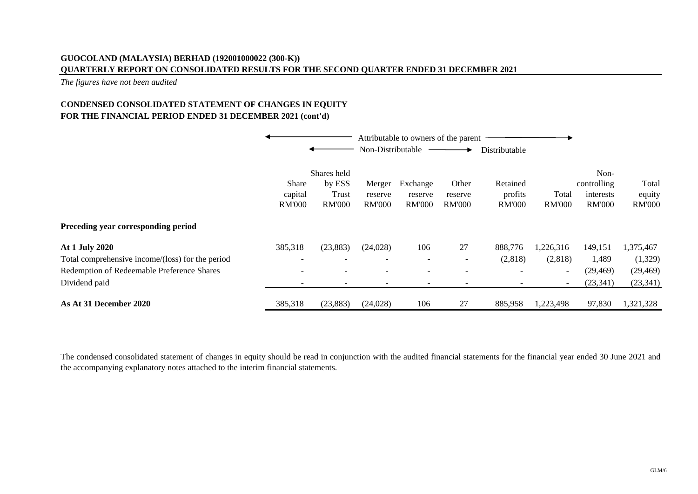*The figures have not been audited*

# **FOR THE FINANCIAL PERIOD ENDED 31 DECEMBER 2021 (cont'd) CONDENSED CONSOLIDATED STATEMENT OF CHANGES IN EQUITY**

|                                                                           |                                     |                                                 | Attributable to owners of the parent<br>Non-Distributable<br>Distributable |                                      |                                   |                                      |                                                      |                                                   |                                  |
|---------------------------------------------------------------------------|-------------------------------------|-------------------------------------------------|----------------------------------------------------------------------------|--------------------------------------|-----------------------------------|--------------------------------------|------------------------------------------------------|---------------------------------------------------|----------------------------------|
|                                                                           | Share<br>capital<br><b>RM'000</b>   | Shares held<br>by ESS<br>Trust<br><b>RM'000</b> | Merger<br>reserve<br><b>RM'000</b>                                         | Exchange<br>reserve<br><b>RM'000</b> | Other<br>reserve<br><b>RM'000</b> | Retained<br>profits<br><b>RM'000</b> | Total<br><b>RM'000</b>                               | Non-<br>controlling<br>interests<br><b>RM'000</b> | Total<br>equity<br><b>RM'000</b> |
| Preceding year corresponding period                                       |                                     |                                                 |                                                                            |                                      |                                   |                                      |                                                      |                                                   |                                  |
| <b>At 1 July 2020</b><br>Total comprehensive income/(loss) for the period | 385,318<br>$\overline{\phantom{a}}$ | (23, 883)                                       | (24, 028)<br>$\overline{\phantom{0}}$                                      | 106<br>$\overline{\phantom{a}}$      | 27<br>$\overline{\phantom{0}}$    | 888,776<br>(2,818)                   | 1,226,316<br>(2,818)                                 | 149,151<br>1,489                                  | 1,375,467<br>(1,329)             |
| Redemption of Redeemable Preference Shares<br>Dividend paid               | $\overline{\phantom{a}}$            |                                                 | $\overline{\phantom{a}}$                                                   | $\overline{\phantom{a}}$             |                                   | $\overline{\phantom{a}}$             | $\overline{\phantom{a}}$<br>$\overline{\phantom{a}}$ | (29, 469)<br>(23, 341)                            | (29, 469)<br>(23, 341)           |
| As At 31 December 2020                                                    | 385,318                             | (23, 883)                                       | (24, 028)                                                                  | 106                                  | 27                                | 885,958                              | 1,223,498                                            | 97,830                                            | 1,321,328                        |

The condensed consolidated statement of changes in equity should be read in conjunction with the audited financial statements for the financial year ended 30 June 2021 and the accompanying explanatory notes attached to the interim financial statements.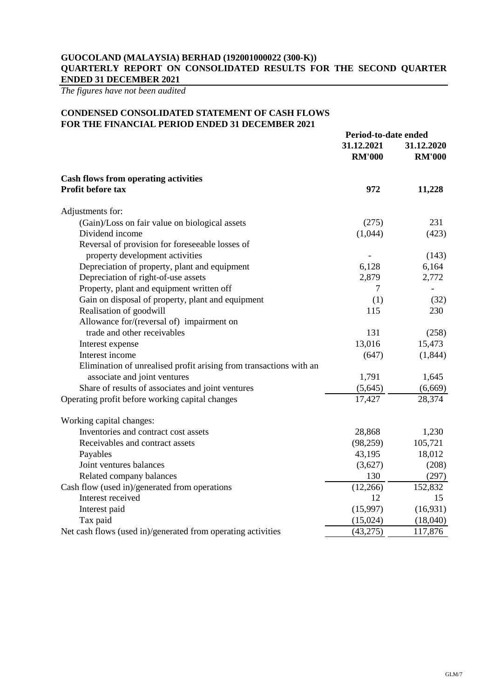*The figures have not been audited*

# **CONDENSED CONSOLIDATED STATEMENT OF CASH FLOWS FOR THE FINANCIAL PERIOD ENDED 31 DECEMBER 2021**

|                                                                                                | Period-to-date ended |               |
|------------------------------------------------------------------------------------------------|----------------------|---------------|
|                                                                                                | 31.12.2021           | 31.12.2020    |
|                                                                                                | <b>RM'000</b>        | <b>RM'000</b> |
| <b>Cash flows from operating activities</b>                                                    |                      |               |
| Profit before tax                                                                              | 972                  | 11,228        |
| Adjustments for:                                                                               |                      |               |
| (Gain)/Loss on fair value on biological assets                                                 | (275)                | 231           |
| Dividend income                                                                                | (1,044)              | (423)         |
| Reversal of provision for foreseeable losses of<br>property development activities             |                      | (143)         |
| Depreciation of property, plant and equipment                                                  | 6,128                | 6,164         |
| Depreciation of right-of-use assets                                                            | 2,879                | 2,772         |
|                                                                                                | 7                    |               |
| Property, plant and equipment written off<br>Gain on disposal of property, plant and equipment |                      | (32)          |
| Realisation of goodwill                                                                        | (1)<br>115           | 230           |
| Allowance for/(reversal of) impairment on                                                      |                      |               |
| trade and other receivables                                                                    | 131                  | (258)         |
| Interest expense                                                                               | 13,016               | 15,473        |
| Interest income                                                                                | (647)                | (1,844)       |
| Elimination of unrealised profit arising from transactions with an                             |                      |               |
| associate and joint ventures                                                                   | 1,791                | 1,645         |
| Share of results of associates and joint ventures                                              | (5,645)              | (6,669)       |
| Operating profit before working capital changes                                                | 17,427               | 28,374        |
|                                                                                                |                      |               |
| Working capital changes:                                                                       |                      |               |
| Inventories and contract cost assets                                                           | 28,868               | 1,230         |
| Receivables and contract assets                                                                | (98, 259)            | 105,721       |
| Payables                                                                                       | 43,195               | 18,012        |
| Joint ventures balances                                                                        | (3,627)              | (208)         |
| Related company balances                                                                       | 130                  | (297)         |
| Cash flow (used in)/generated from operations                                                  | (12,266)             | 152,832       |
| Interest received                                                                              | 12                   | 15            |
| Interest paid                                                                                  | (15,997)             | (16, 931)     |
| Tax paid                                                                                       | (15,024)             | (18,040)      |
| Net cash flows (used in)/generated from operating activities                                   | (43,275)             | 117,876       |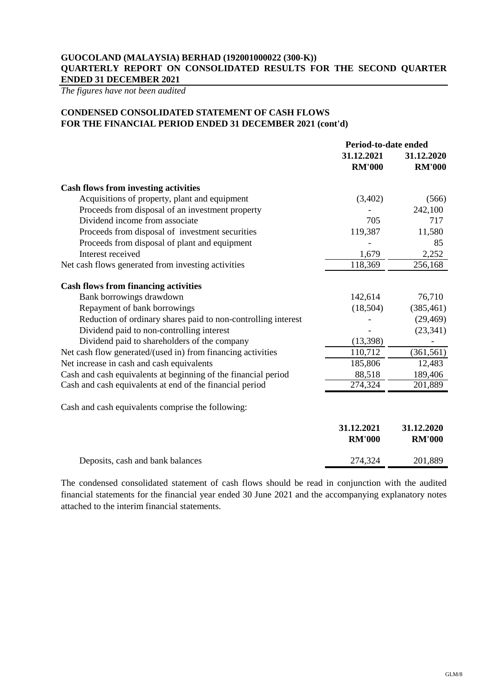*The figures have not been audited*

# **CONDENSED CONSOLIDATED STATEMENT OF CASH FLOWS FOR THE FINANCIAL PERIOD ENDED 31 DECEMBER 2021 (cont'd)**

|                                                                | Period-to-date ended        |                             |  |
|----------------------------------------------------------------|-----------------------------|-----------------------------|--|
|                                                                | 31.12.2021<br><b>RM'000</b> | 31.12.2020<br><b>RM'000</b> |  |
| <b>Cash flows from investing activities</b>                    |                             |                             |  |
| Acquisitions of property, plant and equipment                  | (3,402)                     | (566)                       |  |
| Proceeds from disposal of an investment property               |                             | 242,100                     |  |
| Dividend income from associate                                 | 705                         | 717                         |  |
| Proceeds from disposal of investment securities                | 119,387                     | 11,580                      |  |
| Proceeds from disposal of plant and equipment                  |                             | 85                          |  |
| Interest received                                              | 1,679                       | 2,252                       |  |
| Net cash flows generated from investing activities             | 118,369                     | 256,168                     |  |
| <b>Cash flows from financing activities</b>                    |                             |                             |  |
| Bank borrowings drawdown                                       | 142,614                     | 76,710                      |  |
| Repayment of bank borrowings                                   | (18, 504)                   | (385, 461)                  |  |
| Reduction of ordinary shares paid to non-controlling interest  |                             | (29, 469)                   |  |
| Dividend paid to non-controlling interest                      |                             | (23, 341)                   |  |
| Dividend paid to shareholders of the company                   | (13, 398)                   |                             |  |
| Net cash flow generated/(used in) from financing activities    | 110,712                     | (361, 561)                  |  |
| Net increase in cash and cash equivalents                      | 185,806                     | 12,483                      |  |
| Cash and cash equivalents at beginning of the financial period | 88,518                      | 189,406                     |  |
| Cash and cash equivalents at end of the financial period       | 274,324                     | 201,889                     |  |
| Cash and cash equivalents comprise the following:              |                             |                             |  |
|                                                                | 31.12.2021<br><b>RM'000</b> | 31.12.2020<br><b>RM'000</b> |  |
| Deposits, cash and bank balances                               | 274,324                     | 201,889                     |  |

The condensed consolidated statement of cash flows should be read in conjunction with the audited financial statements for the financial year ended 30 June 2021 and the accompanying explanatory notes attached to the interim financial statements.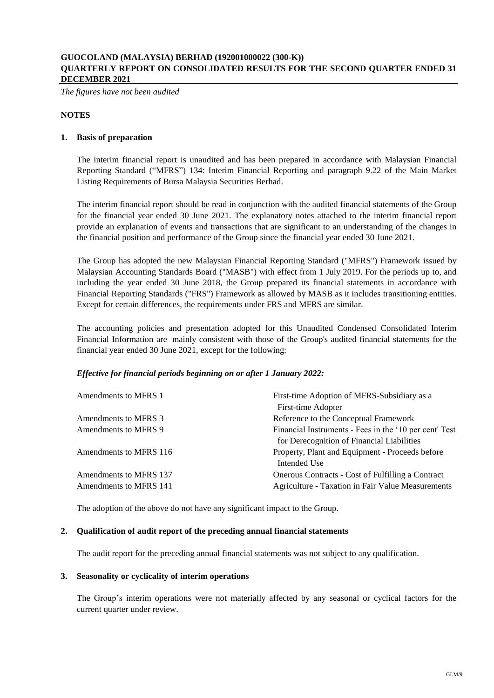*The figures have not been audited*

### **NOTES**

### **1. Basis of preparation**

The interim financial report is unaudited and has been prepared in accordance with Malaysian Financial Reporting Standard ("MFRS") 134: Interim Financial Reporting and paragraph 9.22 of the Main Market Listing Requirements of Bursa Malaysia Securities Berhad.

The interim financial report should be read in conjunction with the audited financial statements of the Group for the financial year ended 30 June 2021. The explanatory notes attached to the interim financial report provide an explanation of events and transactions that are significant to an understanding of the changes in the financial position and performance of the Group since the financial year ended 30 June 2021.

The Group has adopted the new Malaysian Financial Reporting Standard ("MFRS") Framework issued by Malaysian Accounting Standards Board ("MASB") with effect from 1 July 2019. For the periods up to, and including the year ended 30 June 2018, the Group prepared its financial statements in accordance with Financial Reporting Standards ("FRS") Framework as allowed by MASB as it includes transitioning entities. Except for certain differences, the requirements under FRS and MFRS are similar.

The accounting policies and presentation adopted for this Unaudited Condensed Consolidated Interim Financial Information are mainly consistent with those of the Group's audited financial statements for the financial year ended 30 June 2021, except for the following:

#### *Effective for financial periods beginning on or after 1 January 2022:*

| Amendments to MFRS 1   | First-time Adoption of MFRS-Subsidiary as a<br>First-time Adopter                                    |
|------------------------|------------------------------------------------------------------------------------------------------|
| Amendments to MFRS 3   | Reference to the Conceptual Framework                                                                |
| Amendments to MFRS 9   | Financial Instruments - Fees in the '10 per cent' Test<br>for Derecognition of Financial Liabilities |
| Amendments to MFRS 116 | Property, Plant and Equipment - Proceeds before<br>Intended Use                                      |
| Amendments to MFRS 137 | Onerous Contracts - Cost of Fulfilling a Contract                                                    |
| Amendments to MFRS 141 | Agriculture - Taxation in Fair Value Measurements                                                    |

The adoption of the above do not have any significant impact to the Group.

#### **2. Qualification of audit report of the preceding annual financial statements**

The audit report for the preceding annual financial statements was not subject to any qualification.

## **3. Seasonality or cyclicality of interim operations**

The Group's interim operations were not materially affected by any seasonal or cyclical factors for the current quarter under review.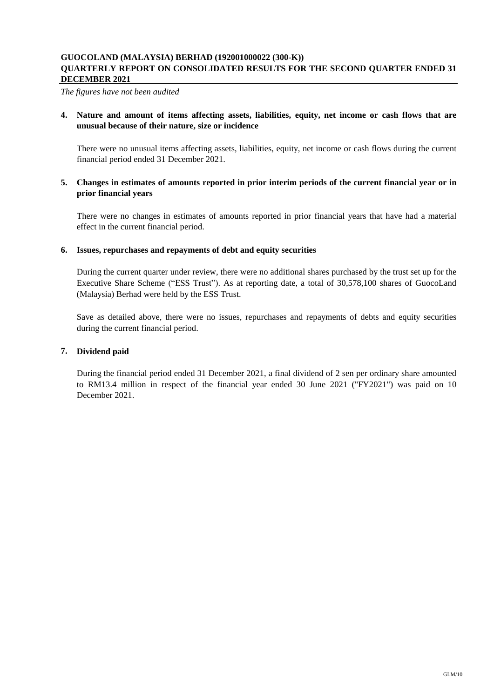*The figures have not been audited*

**4. Nature and amount of items affecting assets, liabilities, equity, net income or cash flows that are unusual because of their nature, size or incidence**

There were no unusual items affecting assets, liabilities, equity, net income or cash flows during the current financial period ended 31 December 2021.

# 5. Changes in estimates of amounts reported in prior interim periods of the current financial year or in **prior financial years**

There were no changes in estimates of amounts reported in prior financial years that have had a material effect in the current financial period.

### **6. Issues, repurchases and repayments of debt and equity securities**

During the current quarter under review, there were no additional shares purchased by the trust set up for the Executive Share Scheme ("ESS Trust"). As at reporting date, a total of 30,578,100 shares of GuocoLand (Malaysia) Berhad were held by the ESS Trust.

Save as detailed above, there were no issues, repurchases and repayments of debts and equity securities during the current financial period.

# **7. Dividend paid**

During the financial period ended 31 December 2021, a final dividend of 2 sen per ordinary share amounted to RM13.4 million in respect of the financial year ended 30 June 2021 ("FY2021") was paid on 10 December 2021.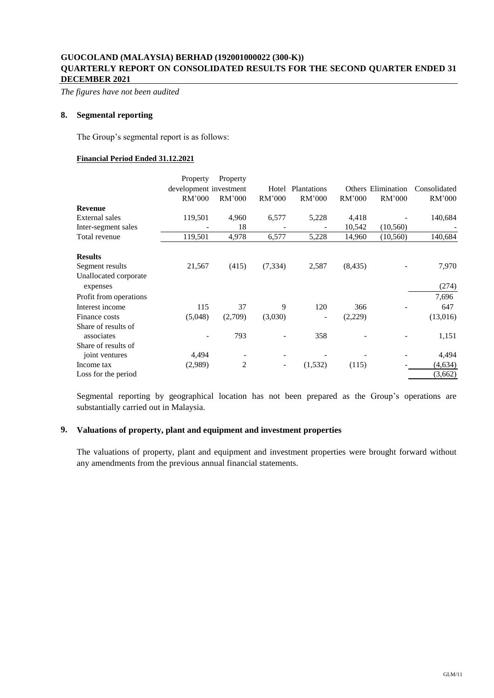*The figures have not been audited*

# **8. Segmental reporting**

The Group's segmental report is as follows:

### **Financial Period Ended 31.12.2021**

|                        | Property               | Property |          |                    |          |                    |              |
|------------------------|------------------------|----------|----------|--------------------|----------|--------------------|--------------|
|                        | development investment |          | Hotel    | <b>Plantations</b> |          | Others Elimination | Consolidated |
|                        | RM'000                 | RM'000   | RM'000   | RM'000             | RM'000   | RM'000             | RM'000       |
| Revenue                |                        |          |          |                    |          |                    |              |
| <b>External sales</b>  | 119,501                | 4,960    | 6,577    | 5,228              | 4,418    |                    | 140,684      |
| Inter-segment sales    |                        | 18       |          |                    | 10,542   | (10, 560)          |              |
| Total revenue          | 119,501                | 4,978    | 6,577    | 5,228              | 14,960   | (10, 560)          | 140,684      |
| <b>Results</b>         |                        |          |          |                    |          |                    |              |
| Segment results        | 21,567                 | (415)    | (7, 334) | 2,587              | (8, 435) |                    | 7,970        |
| Unallocated corporate  |                        |          |          |                    |          |                    |              |
| expenses               |                        |          |          |                    |          |                    | (274)        |
| Profit from operations |                        |          |          |                    |          |                    | 7,696        |
| Interest income        | 115                    | 37       | 9        | 120                | 366      |                    | 647          |
| Finance costs          | (5,048)                | (2,709)  | (3,030)  |                    | (2,229)  |                    | (13,016)     |
| Share of results of    |                        |          |          |                    |          |                    |              |
| associates             |                        | 793      |          | 358                |          |                    | 1,151        |
| Share of results of    |                        |          |          |                    |          |                    |              |
| joint ventures         | 4,494                  |          |          |                    |          |                    | 4,494        |
| Income tax             | (2,989)                | 2        |          | (1, 532)           | (115)    |                    | (4,634)      |
| Loss for the period    |                        |          |          |                    |          |                    | (3,662)      |

Segmental reporting by geographical location has not been prepared as the Group's operations are substantially carried out in Malaysia.

### **9. Valuations of property, plant and equipment and investment properties**

The valuations of property, plant and equipment and investment properties were brought forward without any amendments from the previous annual financial statements.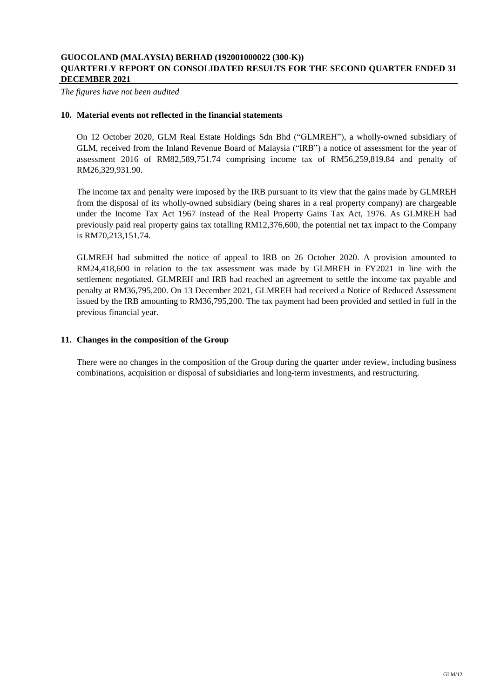*The figures have not been audited*

### **10. Material events not reflected in the financial statements**

On 12 October 2020, GLM Real Estate Holdings Sdn Bhd ("GLMREH"), a wholly-owned subsidiary of GLM, received from the Inland Revenue Board of Malaysia ("IRB") a notice of assessment for the year of assessment 2016 of RM82,589,751.74 comprising income tax of RM56,259,819.84 and penalty of RM26,329,931.90.

The income tax and penalty were imposed by the IRB pursuant to its view that the gains made by GLMREH from the disposal of its wholly-owned subsidiary (being shares in a real property company) are chargeable under the Income Tax Act 1967 instead of the Real Property Gains Tax Act, 1976. As GLMREH had previously paid real property gains tax totalling RM12,376,600, the potential net tax impact to the Company is RM70,213,151.74.

GLMREH had submitted the notice of appeal to IRB on 26 October 2020. A provision amounted to RM24,418,600 in relation to the tax assessment was made by GLMREH in FY2021 in line with the settlement negotiated. GLMREH and IRB had reached an agreement to settle the income tax payable and penalty at RM36,795,200. On 13 December 2021, GLMREH had received a Notice of Reduced Assessment issued by the IRB amounting to RM36,795,200. The tax payment had been provided and settled in full in the previous financial year.

### **11. Changes in the composition of the Group**

There were no changes in the composition of the Group during the quarter under review, including business combinations, acquisition or disposal of subsidiaries and long-term investments, and restructuring.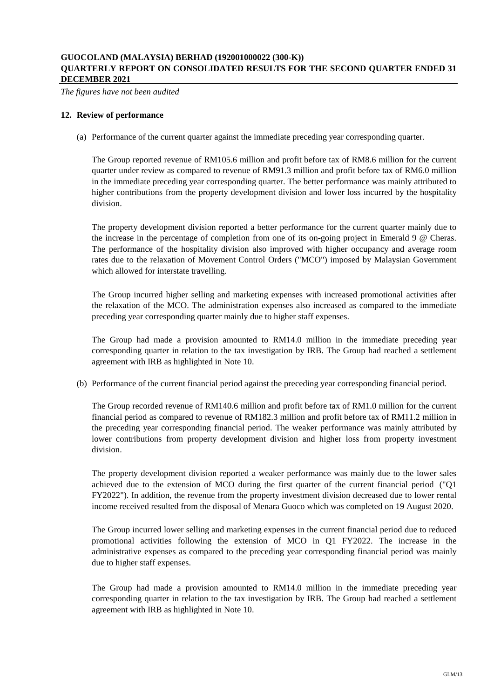*The figures have not been audited*

#### **12. Review of performance**

(a) Performance of the current quarter against the immediate preceding year corresponding quarter.

The Group reported revenue of RM105.6 million and profit before tax of RM8.6 million for the current quarter under review as compared to revenue of RM91.3 million and profit before tax of RM6.0 million in the immediate preceding year corresponding quarter. The better performance was mainly attributed to higher contributions from the property development division and lower loss incurred by the hospitality division.

The property development division reported a better performance for the current quarter mainly due to the increase in the percentage of completion from one of its on-going project in Emerald 9 @ Cheras. The performance of the hospitality division also improved with higher occupancy and average room rates due to the relaxation of Movement Control Orders ("MCO") imposed by Malaysian Government which allowed for interstate travelling.

The Group incurred higher selling and marketing expenses with increased promotional activities after the relaxation of the MCO. The administration expenses also increased as compared to the immediate preceding year corresponding quarter mainly due to higher staff expenses.

The Group had made a provision amounted to RM14.0 million in the immediate preceding year corresponding quarter in relation to the tax investigation by IRB. The Group had reached a settlement agreement with IRB as highlighted in Note 10.

(b) Performance of the current financial period against the preceding year corresponding financial period.

The Group recorded revenue of RM140.6 million and profit before tax of RM1.0 million for the current financial period as compared to revenue of RM182.3 million and profit before tax of RM11.2 million in the preceding year corresponding financial period. The weaker performance was mainly attributed by lower contributions from property development division and higher loss from property investment division.

The property development division reported a weaker performance was mainly due to the lower sales achieved due to the extension of MCO during the first quarter of the current financial period ("Q1 FY2022"). In addition, the revenue from the property investment division decreased due to lower rental income received resulted from the disposal of Menara Guoco which was completed on 19 August 2020.

The Group incurred lower selling and marketing expenses in the current financial period due to reduced promotional activities following the extension of MCO in Q1 FY2022. The increase in the administrative expenses as compared to the preceding year corresponding financial period was mainly due to higher staff expenses.

The Group had made a provision amounted to RM14.0 million in the immediate preceding year corresponding quarter in relation to the tax investigation by IRB. The Group had reached a settlement agreement with IRB as highlighted in Note 10.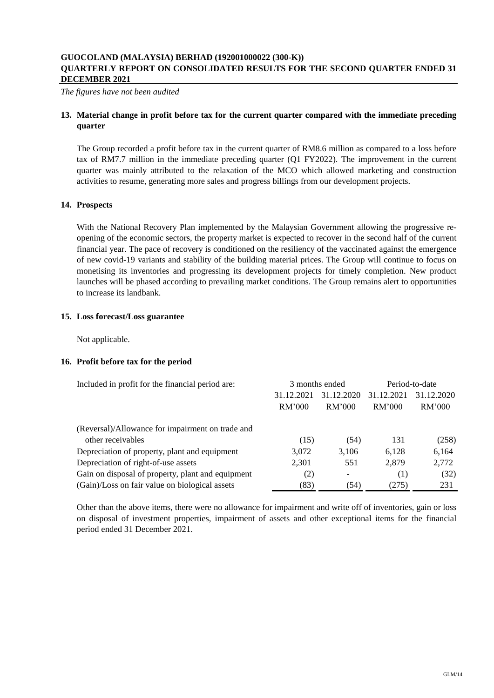*The figures have not been audited*

### **13. Material change in profit before tax for the current quarter compared with the immediate preceding quarter**

The Group recorded a profit before tax in the current quarter of RM8.6 million as compared to a loss before tax of RM7.7 million in the immediate preceding quarter (Q1 FY2022). The improvement in the current quarter was mainly attributed to the relaxation of the MCO which allowed marketing and construction activities to resume, generating more sales and progress billings from our development projects.

### **14. Prospects**

With the National Recovery Plan implemented by the Malaysian Government allowing the progressive reopening of the economic sectors, the property market is expected to recover in the second half of the current financial year. The pace of recovery is conditioned on the resiliency of the vaccinated against the emergence of new covid-19 variants and stability of the building material prices. The Group will continue to focus on monetising its inventories and progressing its development projects for timely completion. New product launches will be phased according to prevailing market conditions. The Group remains alert to opportunities to increase its landbank.

#### **15. Loss forecast/Loss guarantee**

Not applicable.

#### **16. Profit before tax for the period**

| Included in profit for the financial period are:  | 3 months ended |            | Period-to-date |            |
|---------------------------------------------------|----------------|------------|----------------|------------|
|                                                   | 31.12.2021     | 31.12.2020 | 31.12.2021     | 31.12.2020 |
|                                                   | RM'000         | RM'000     | RM'000         | RM'000     |
| (Reversal)/Allowance for impairment on trade and  |                |            |                |            |
| other receivables                                 | (15)           | (54)       | 131            | (258)      |
| Depreciation of property, plant and equipment     | 3,072          | 3.106      | 6.128          | 6.164      |
| Depreciation of right-of-use assets               | 2,301          | 551        | 2.879          | 2,772      |
| Gain on disposal of property, plant and equipment | (2)            | -          | (1)            | (32)       |
| (Gain)/Loss on fair value on biological assets    | (83)           | (54)       | (275)          | 231        |

Other than the above items, there were no allowance for impairment and write off of inventories, gain or loss on disposal of investment properties, impairment of assets and other exceptional items for the financial period ended 31 December 2021.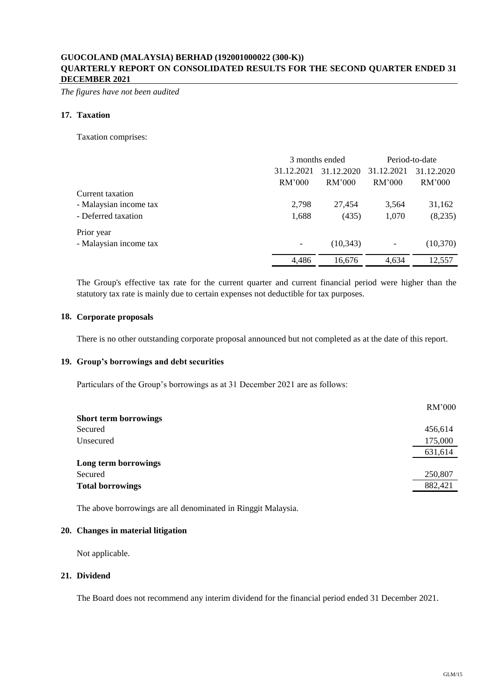*The figures have not been audited*

# **17. Taxation**

Taxation comprises:

|                        |                          | 3 months ended |            | Period-to-date |  |
|------------------------|--------------------------|----------------|------------|----------------|--|
|                        | 31.12.2021               | 31.12.2020     | 31.12.2021 | 31.12.2020     |  |
|                        | RM'000                   | RM'000         | RM'000     | RM'000         |  |
| Current taxation       |                          |                |            |                |  |
| - Malaysian income tax | 2,798                    | 27,454         | 3,564      | 31,162         |  |
| - Deferred taxation    | 1,688                    | (435)          | 1,070      | (8,235)        |  |
| Prior year             |                          |                |            |                |  |
| - Malaysian income tax | $\overline{\phantom{a}}$ | (10, 343)      |            | (10, 370)      |  |
|                        | 4.486                    | 16.676         | 4.634      | 12,557         |  |

The Group's effective tax rate for the current quarter and current financial period were higher than the statutory tax rate is mainly due to certain expenses not deductible for tax purposes.

#### **18. Corporate proposals**

There is no other outstanding corporate proposal announced but not completed as at the date of this report.

### **19. Group's borrowings and debt securities**

Particulars of the Group's borrowings as at 31 December 2021 are as follows:

|                              | RM'000  |
|------------------------------|---------|
| <b>Short term borrowings</b> |         |
| Secured                      | 456,614 |
| Unsecured                    | 175,000 |
|                              | 631,614 |
| Long term borrowings         |         |
| Secured                      | 250,807 |
| <b>Total borrowings</b>      | 882,421 |
|                              |         |

The above borrowings are all denominated in Ringgit Malaysia.

### **20. Changes in material litigation**

Not applicable.

## **21. Dividend**

The Board does not recommend any interim dividend for the financial period ended 31 December 2021.